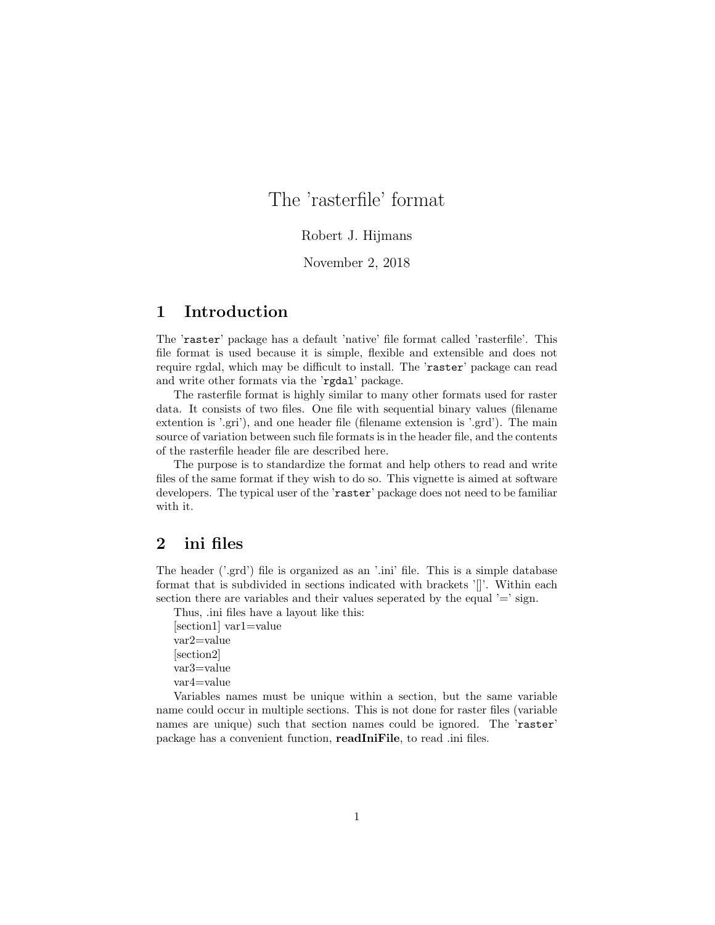# The 'rasterfile' format

### Robert J. Hijmans

### November 2, 2018

# 1 Introduction

The 'raster' package has a default 'native' file format called 'rasterfile'. This file format is used because it is simple, flexible and extensible and does not require rgdal, which may be difficult to install. The 'raster' package can read and write other formats via the 'rgdal' package.

The rasterfile format is highly similar to many other formats used for raster data. It consists of two files. One file with sequential binary values (filename extention is '.gri'), and one header file (filename extension is '.grd'). The main source of variation between such file formats is in the header file, and the contents of the rasterfile header file are described here.

The purpose is to standardize the format and help others to read and write files of the same format if they wish to do so. This vignette is aimed at software developers. The typical user of the 'raster' package does not need to be familiar with it.

### 2 ini files

The header ('.grd') file is organized as an '.ini' file. This is a simple database format that is subdivided in sections indicated with brackets '[]'. Within each section there are variables and their values seperated by the equal  $\prime =$  sign.

Thus, .ini files have a layout like this: [section1] var1=value var2=value [section2] var3=value var4=value

Variables names must be unique within a section, but the same variable name could occur in multiple sections. This is not done for raster files (variable names are unique) such that section names could be ignored. The 'raster' package has a convenient function, readIniFile, to read .ini files.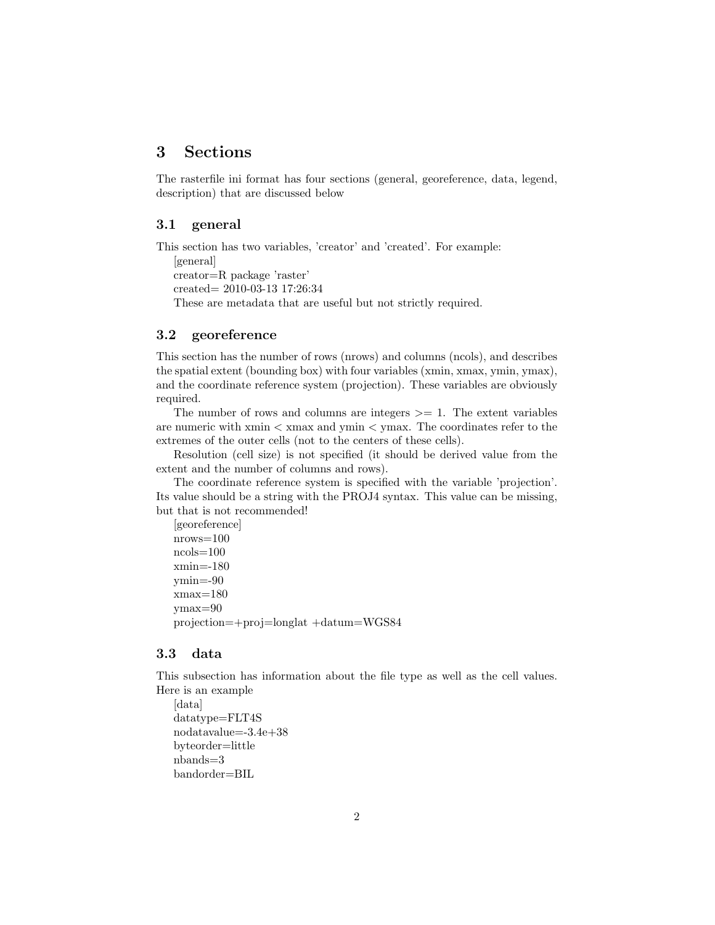# 3 Sections

The rasterfile ini format has four sections (general, georeference, data, legend, description) that are discussed below

### 3.1 general

This section has two variables, 'creator' and 'created'. For example: [general] creator=R package 'raster' created= 2010-03-13 17:26:34 These are metadata that are useful but not strictly required.

## 3.2 georeference

This section has the number of rows (nrows) and columns (ncols), and describes the spatial extent (bounding box) with four variables (xmin, xmax, ymin, ymax), and the coordinate reference system (projection). These variables are obviously required.

The number of rows and columns are integers  $\geq$  1. The extent variables are numeric with  $xmin < xmax$  and  $ymin < ymax$ . The coordinates refer to the extremes of the outer cells (not to the centers of these cells).

Resolution (cell size) is not specified (it should be derived value from the extent and the number of columns and rows).

The coordinate reference system is specified with the variable 'projection'. Its value should be a string with the PROJ4 syntax. This value can be missing, but that is not recommended!

```
[georeference]
nrows=100
ncols=100
xmin=-180
ymin=-90
xmax=180ymax=90
projection=+proj=longlat +datum=WGS84
```
### 3.3 data

This subsection has information about the file type as well as the cell values. Here is an example

```
[data]
datatype=FLT4S
nodatavalue=-3.4e+38
byteorder=little
nbands=3
bandorder=BIL
```